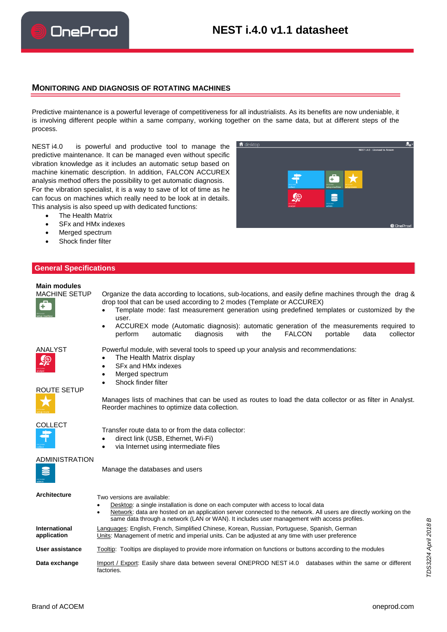### **MONITORING AND DIAGNOSIS OF ROTATING MACHINES**

Predictive maintenance is a powerful leverage of competitiveness for all industrialists. As its benefits are now undeniable, it is involving different people within a same company, working together on the same data, but at different steps of the process.

NEST i4.0 is powerful and productive tool to manage the predictive maintenance. It can be managed even without specific vibration knowledge as it includes an automatic setup based on machine kinematic description. In addition, FALCON ACCUREX analysis method offers the possibility to get automatic diagnosis. For the vibration specialist, it is a way to save of lot of time as he can focus on machines which really need to be look at in details. This analysis is also speed up with dedicated functions:

- The Health Matrix
- SFx and HMx indexes
- Merged spectrum
- Shock finder filter

# **General Specifications**

# **Main modules**

- Organize the data according to locations, sub-locations, and easily define machines through the drag & drop tool that can be used according to 2 modes (Template or ACCUREX)
	- Template mode: fast measurement generation using predefined templates or customized by the user.
		- ACCUREX mode (Automatic diagnosis): automatic generation of the measurements required to<br>
		perform automatic diagnosis with the FALCON portable data collector perform automatic diagnosis with the FALCON portable data collector

ANALYST Powerful module, with several tools to speed up your analysis and recommendations:

- The Health Matrix display
- SFx and HMx indexes
- Merged spectrum
- Shock finder filter

Manages lists of machines that can be used as routes to load the data collector or as filter in Analyst. Reorder machines to optimize data collection.

COLLECT

ROUTE SETUP



ADMINISTRATION

Manage the databases and users

Transfer route data to or from the data collector: direct link (USB, Ethernet, Wi-Fi) via Internet using intermediate files

| <b>Architecture</b>          | Two versions are available:<br>Desktop: a single installation is done on each computer with access to local data<br>Network: data are hosted on an application server connected to the network. All users are directly working on the<br>same data through a network (LAN or WAN). It includes user management with access profiles. |  |  |  |  |  |  |
|------------------------------|--------------------------------------------------------------------------------------------------------------------------------------------------------------------------------------------------------------------------------------------------------------------------------------------------------------------------------------|--|--|--|--|--|--|
| International<br>application | Languages: English, French, Simplified Chinese, Korean, Russian, Portuguese, Spanish, German<br>Units: Management of metric and imperial units. Can be adjusted at any time with user preference                                                                                                                                     |  |  |  |  |  |  |
| User assistance              | Tooltip: Tooltips are displayed to provide more information on functions or buttons according to the modules                                                                                                                                                                                                                         |  |  |  |  |  |  |
| Data exchange                | Import / Export: Easily share data between several ONEPROD NEST i4.0 databases within the same or different<br>factories.                                                                                                                                                                                                            |  |  |  |  |  |  |





œ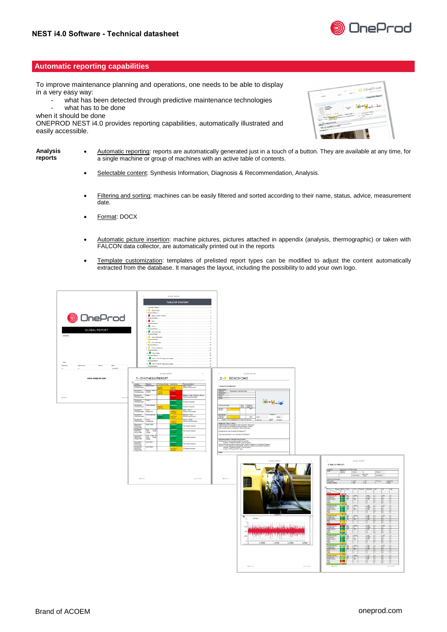

# **Automatic reporting capabilities**

To improve maintenance planning and operations, one needs to be able to display in a very easy way:

- what has been detected through predictive maintenance technologies what has to be done
- when it should be done

ONEPROD NEST i4.0 provides reporting capabilities, automatically illustrated and easily accessible.

| Ineprod<br><b>Brand of ACOIM</b>                                                                                                                                                                                                                                                                                                                                                                                                                                                | page 11.5<br>sen à       |                                                                                                                              |
|---------------------------------------------------------------------------------------------------------------------------------------------------------------------------------------------------------------------------------------------------------------------------------------------------------------------------------------------------------------------------------------------------------------------------------------------------------------------------------|--------------------------|------------------------------------------------------------------------------------------------------------------------------|
| <b>Expertise Report</b>                                                                                                                                                                                                                                                                                                                                                                                                                                                         |                          | oads                                                                                                                         |
|                                                                                                                                                                                                                                                                                                                                                                                                                                                                                 |                          |                                                                                                                              |
|                                                                                                                                                                                                                                                                                                                                                                                                                                                                                 | FOR STREET               | THE R. P. LEWIS CO., LANSING MICH.<br><b>SCALE</b>                                                                           |
|                                                                                                                                                                                                                                                                                                                                                                                                                                                                                 |                          | -<br><b>SERVICE</b><br><b>SOF</b><br><b>SERVICE</b>                                                                          |
| <b>Cold Ave and West</b><br><b>Lower Clarke Amazon - Mark</b><br>$\frac{1}{\sqrt{2}}\frac{1}{\sqrt{2}}\frac{1}{\sqrt{2}}\frac{1}{\sqrt{2}}\frac{1}{\sqrt{2}}\frac{1}{\sqrt{2}}\frac{1}{\sqrt{2}}\frac{1}{\sqrt{2}}\frac{1}{\sqrt{2}}\frac{1}{\sqrt{2}}\frac{1}{\sqrt{2}}\frac{1}{\sqrt{2}}\frac{1}{\sqrt{2}}\frac{1}{\sqrt{2}}\frac{1}{\sqrt{2}}\frac{1}{\sqrt{2}}\frac{1}{\sqrt{2}}\frac{1}{\sqrt{2}}\frac{1}{\sqrt{2}}\frac{1}{\sqrt{2}}\frac{1}{\sqrt{2}}\frac{1}{\sqrt{2}}$ | <b>Brand Street</b>      | <b>STAR</b><br>$-249.2$<br><b>Sales</b>                                                                                      |
| <b>LEWIS</b>                                                                                                                                                                                                                                                                                                                                                                                                                                                                    | <b>PARTICULAR COLUMN</b> | provide the state of the providers of the provider state of the state of the state of the state of the state of              |
|                                                                                                                                                                                                                                                                                                                                                                                                                                                                                 |                          | <b>Company's &amp; Democratical Company</b>                                                                                  |
|                                                                                                                                                                                                                                                                                                                                                                                                                                                                                 |                          | the party and the property of the property and the property of the company of the company of<br>Southeast and American buyer |
|                                                                                                                                                                                                                                                                                                                                                                                                                                                                                 |                          |                                                                                                                              |
|                                                                                                                                                                                                                                                                                                                                                                                                                                                                                 |                          |                                                                                                                              |

- **Analysis reports** Automatic reporting: reports are automatically generated just in a touch of a button. They are available at any time, for a single machine or group of machines with an active table of contents.
	- Selectable content: Synthesis Information, Diagnosis & Recommendation, Analysis.
	- Filtering and sorting; machines can be easily filtered and sorted according to their name, status, advice, measurement date.
	- Format: DOCX
	- Automatic picture insertion: machine pictures, pictures attached in appendix (analysis, thermographic) or taken with FALCON data collector, are automatically printed out in the reports
	- Template customization: templates of prelisted report types can be modified to adjust the content automatically extracted from the database. It manages the layout, including the possibility to add your own logo.

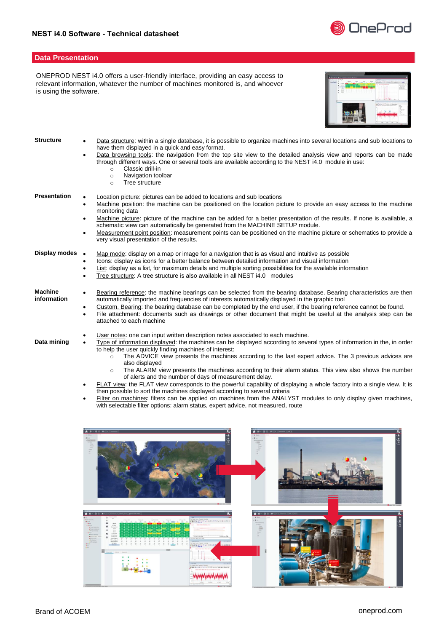

#### **Data Presentation**

ONEPROD NEST i4.0 offers a user-friendly interface, providing an easy access to relevant information, whatever the number of machines monitored is, and whoever is using the software.



| <b>Structure</b>              | Data structure: within a single database, it is possible to organize machines into several locations and sub locations to<br>٠<br>have them displayed in a quick and easy format.<br>Data browsing tools: the navigation from the top site view to the detailed analysis view and reports can be made<br>$\bullet$<br>through different ways. One or several tools are available according to the NEST i4.0 module in use:<br>Classic drill-in<br>$\Omega$<br>Navigation toolbar<br>$\circ$<br>Tree structure<br>$\circ$                                                                                         |
|-------------------------------|------------------------------------------------------------------------------------------------------------------------------------------------------------------------------------------------------------------------------------------------------------------------------------------------------------------------------------------------------------------------------------------------------------------------------------------------------------------------------------------------------------------------------------------------------------------------------------------------------------------|
| <b>Presentation</b>           | Location picture: pictures can be added to locations and sub locations<br>Machine position: the machine can be positioned on the location picture to provide an easy access to the machine<br>٠<br>monitoring data<br>Machine picture: picture of the machine can be added for a better presentation of the results. If none is available, a<br>$\bullet$<br>schematic view can automatically be generated from the MACHINE SETUP module.<br>Measurement point position: measurement points can be positioned on the machine picture or schematics to provide a<br>٠<br>very visual presentation of the results. |
| Display modes •               | Map mode: display on a map or image for a navigation that is as visual and intuitive as possible<br>Icons: display as icons for a better balance between detailed information and visual information<br>$\bullet$<br>List: display as a list, for maximum details and multiple sorting possibilities for the available information<br>Tree structure: A tree structure is also available in all NEST i4.0 modules                                                                                                                                                                                                |
| <b>Machine</b><br>information | Bearing reference: the machine bearings can be selected from the bearing database. Bearing characteristics are then<br>$\bullet$<br>automatically imported and frequencies of interests automatically displayed in the graphic tool<br>Custom. Bearing: the bearing database can be completed by the end user, if the bearing reference cannot be found.<br>٠<br>File attachment: documents such as drawings or other document that might be useful at the analysis step can be<br>٠<br>attached to each machine                                                                                                 |
| Data mining                   | User notes: one can input written description notes associated to each machine.<br>٠<br>Type of information displayed: the machines can be displayed according to several types of information in the, in order<br>$\bullet$<br>to help the user quickly finding machines of interest:<br>The ADVICE view presents the machines according to the last expert advice. The 3 previous advices are<br>$\circ$<br>also displayed                                                                                                                                                                                     |

- $\circ$  The ALARM view presents the machines according to their alarm status. This view also shows the number of alerts and the number of days of measurement delay.
- FLAT view: the FLAT view corresponds to the powerful capability of displaying a whole factory into a single view. It is then possible to sort the machines displayed according to several criteria
- **Filter on machines:** filters can be applied on machines from the ANALYST modules to only display given machines, with selectable filter options: alarm status, expert advice, not measured, route

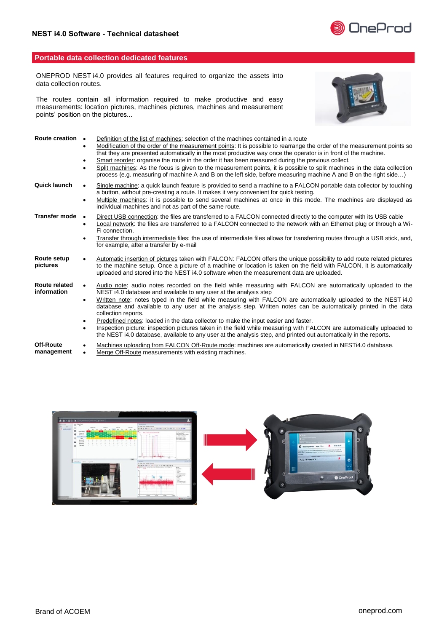

# **Portable data collection dedicated features**

ONEPROD NEST i4.0 provides all features required to organize the assets into data collection routes.

The routes contain all information required to make productive and easy measurements: location pictures, machines pictures, machines and measurement points' position on the pictures...



| Route creation •             | Definition of the list of machines: selection of the machines contained in a route<br>Modification of the order of the measurement points: It is possible to rearrange the order of the measurement points so<br>that they are presented automatically in the most productive way once the operator is in front of the machine.<br>Smart reorder: organise the route in the order it has been measured during the previous collect.<br>Split machines: As the focus is given to the measurement points, it is possible to split machines in the data collection<br>process (e.g. measuring of machine A and B on the left side, before measuring machine A and B on the right side)                                                                                                                        |
|------------------------------|------------------------------------------------------------------------------------------------------------------------------------------------------------------------------------------------------------------------------------------------------------------------------------------------------------------------------------------------------------------------------------------------------------------------------------------------------------------------------------------------------------------------------------------------------------------------------------------------------------------------------------------------------------------------------------------------------------------------------------------------------------------------------------------------------------|
| Quick launch                 | Single machine: a quick launch feature is provided to send a machine to a FALCON portable data collector by touching<br>a button, without pre-creating a route. It makes it very convenient for quick testing.<br>Multiple machines: it is possible to send several machines at once in this mode. The machines are displayed as<br>individual machines and not as part of the same route.                                                                                                                                                                                                                                                                                                                                                                                                                 |
| Transfer mode                | Direct USB connection: the files are transferred to a FALCON connected directly to the computer with its USB cable<br>$\bullet$<br>Local network: the files are transferred to a FALCON connected to the network with an Ethernet plug or through a Wi-<br>Fi connection.<br>Transfer through intermediate files: the use of intermediate files allows for transferring routes through a USB stick, and,<br>for example, after a transfer by e-mail                                                                                                                                                                                                                                                                                                                                                        |
| Route setup<br>pictures      | Automatic insertion of pictures taken with FALCON: FALCON offers the unique possibility to add route related pictures<br>to the machine setup. Once a picture of a machine or location is taken on the field with FALCON, it is automatically<br>uploaded and stored into the NEST i4.0 software when the measurement data are uploaded.                                                                                                                                                                                                                                                                                                                                                                                                                                                                   |
| Route related<br>information | Audio note: audio notes recorded on the field while measuring with FALCON are automatically uploaded to the<br>NEST i4.0 database and available to any user at the analysis step<br>Written note: notes typed in the field while measuring with FALCON are automatically uploaded to the NEST i4.0<br>$\bullet$<br>database and available to any user at the analysis step. Written notes can be automatically printed in the data<br>collection reports.<br>Predefined notes: loaded in the data collector to make the input easier and faster.<br>Inspection picture: inspection pictures taken in the field while measuring with FALCON are automatically uploaded to<br>$\bullet$<br>the NEST i4.0 database, available to any user at the analysis step, and printed out automatically in the reports. |
| Off-Route<br>management      | Machines uploading from FALCON Off-Route mode: machines are automatically created in NESTi4.0 database.<br>Merge Off-Route measurements with existing machines.                                                                                                                                                                                                                                                                                                                                                                                                                                                                                                                                                                                                                                            |

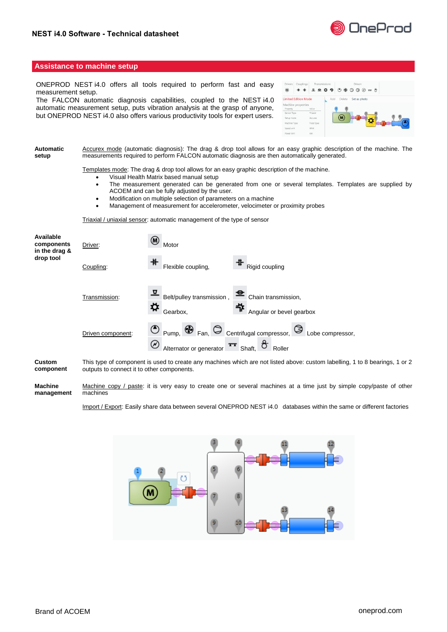

#### **Assistance to machine setup**

ONEPROD NEST i4.0 offers all tools required to perform fast and easy measurement setup.

The FALCON automatic diagnosis capabilities, coupled to the NEST i4.0 automatic measurement setup, puts vibration analysis at the grasp of anyone, but ONEPROD NEST i4.0 also offers various productivity tools for expert users.

| <b>Drivers</b> | Couplings                   |            | Transmissions |  |     |         | Driven |              |  |  |  |
|----------------|-----------------------------|------------|---------------|--|-----|---------|--------|--------------|--|--|--|
| $\circledR$    |                             | 卫生存节       |               |  |     | $\circ$ |        |              |  |  |  |
|                | <b>Limited Edition Mode</b> |            |               |  | Add | Delete  |        | Set as photo |  |  |  |
|                | Machine properties          |            |               |  |     |         |        |              |  |  |  |
| Property       |                             | Value      |               |  |     |         |        |              |  |  |  |
| Sensor Type    |                             | Trianial   |               |  |     |         |        |              |  |  |  |
| Setup mode     |                             | Accurex    |               |  |     | м       |        |              |  |  |  |
| Machine Type   |                             | Flood Spec |               |  |     |         |        |              |  |  |  |
| Speed unit     |                             | RPM        |               |  |     |         |        |              |  |  |  |
| Power Unit     |                             | kW         |               |  |     |         |        |              |  |  |  |

**Automatic setup** Accurex mode (automatic diagnosis): The drag & drop tool allows for an easy graphic description of the machine. The measurements required to perform FALCON automatic diagnosis are then automatically generated.

Templates mode: The drag & drop tool allows for an easy graphic description of the machine.

- Visual Health Matrix based manual setup
- The measurement generated can be generated from one or several templates. Templates are supplied by ACOEM and can be fully adjusted by the user.
- Modification on multiple selection of parameters on a machine
- Management of measurement for accelerometer, velocimeter or proximity probes

Triaxial / uniaxial sensor: automatic management of the type of sensor

| Available<br>components<br>in the drag &<br>drop tool | Driver:           | ⊛<br>Motor                                                                                                                                                     |  |  |  |  |  |  |  |  |
|-------------------------------------------------------|-------------------|----------------------------------------------------------------------------------------------------------------------------------------------------------------|--|--|--|--|--|--|--|--|
|                                                       | Coupling:         | ₩<br>⋕<br>Flexible coupling,<br>Rigid coupling                                                                                                                 |  |  |  |  |  |  |  |  |
|                                                       | Transmission:     | ◘<br>Belt/pulley transmission,<br>Chain transmission,<br>⋪<br>╬<br>Angular or bevel gearbox<br>Gearbox.                                                        |  |  |  |  |  |  |  |  |
|                                                       | Driven component: | ৩<br>$\bigotimes$ <sub>Fan,</sub><br>$\circ$<br>Centrifugal compressor,<br>Pump,<br>Lobe compressor.<br>∞<br>᠇᠇<br>Alternator or generator<br>Shaft.<br>Roller |  |  |  |  |  |  |  |  |
|                                                       |                   |                                                                                                                                                                |  |  |  |  |  |  |  |  |

**Custom component** This type of component is used to create any machines which are not listed above: custom labelling, 1 to 8 bearings, 1 or 2 outputs to connect it to other components.

**Machine management** Machine copy / paste: it is very easy to create one or several machines at a time just by simple copy/paste of other machines

Import / Export: Easily share data between several ONEPROD NEST i4.0 databases within the same or different factories

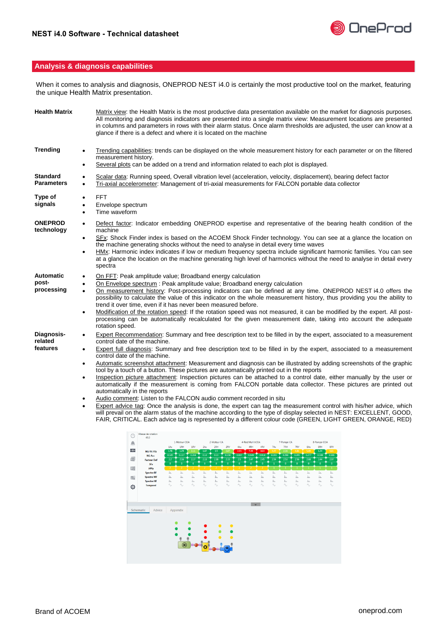

# **Analysis & diagnosis capabilities**

When it comes to analysis and diagnosis, ONEPROD NEST i4.0 is certainly the most productive tool on the market, featuring the unique Health Matrix presentation.

| <b>Health Matrix</b>                    | Matrix view: the Health Matrix is the most productive data presentation available on the market for diagnosis purposes.<br>All monitoring and diagnosis indicators are presented into a single matrix view: Measurement locations are presented<br>in columns and parameters in rows with their alarm status. Once alarm thresholds are adjusted, the user can know at a<br>glance if there is a defect and where it is located on the machine                                                                                                                                                                                                                                                                                                                                                                                                                                                                                   |
|-----------------------------------------|----------------------------------------------------------------------------------------------------------------------------------------------------------------------------------------------------------------------------------------------------------------------------------------------------------------------------------------------------------------------------------------------------------------------------------------------------------------------------------------------------------------------------------------------------------------------------------------------------------------------------------------------------------------------------------------------------------------------------------------------------------------------------------------------------------------------------------------------------------------------------------------------------------------------------------|
| <b>Trending</b>                         | Trending capabilities: trends can be displayed on the whole measurement history for each parameter or on the filtered<br>$\bullet$<br>measurement history.                                                                                                                                                                                                                                                                                                                                                                                                                                                                                                                                                                                                                                                                                                                                                                       |
|                                         | Several plots can be added on a trend and information related to each plot is displayed.<br>$\bullet$                                                                                                                                                                                                                                                                                                                                                                                                                                                                                                                                                                                                                                                                                                                                                                                                                            |
| <b>Standard</b><br><b>Parameters</b>    | Scalar data: Running speed, Overall vibration level (acceleration, velocity, displacement), bearing defect factor<br>$\bullet$<br>Tri-axial accelerometer: Management of tri-axial measurements for FALCON portable data collector<br>$\bullet$                                                                                                                                                                                                                                                                                                                                                                                                                                                                                                                                                                                                                                                                                  |
| Type of<br>signals                      | FFT.<br>$\bullet$<br>Envelope spectrum<br>$\bullet$<br>Time waveform<br>$\bullet$                                                                                                                                                                                                                                                                                                                                                                                                                                                                                                                                                                                                                                                                                                                                                                                                                                                |
| <b>ONEPROD</b><br>technology            | Defect factor: Indicator embedding ONEPROD expertise and representative of the bearing health condition of the<br>$\bullet$<br>machine<br>SFx: Shock Finder index is based on the ACOEM Shock Finder technology. You can see at a glance the location on<br>$\bullet$<br>the machine generating shocks without the need to analyse in detail every time waves<br>HMx: Harmonic index indicates if low or medium frequency spectra include significant harmonic families. You can see<br>$\bullet$<br>at a glance the location on the machine generating high level of harmonics without the need to analyse in detail every<br>spectra                                                                                                                                                                                                                                                                                           |
| <b>Automatic</b><br>post-<br>processing | On FFT: Peak amplitude value; Broadband energy calculation<br>$\bullet$<br>On Envelope spectrum : Peak amplitude value; Broadband energy calculation<br>On measurement history: Post-processing indicators can be defined at any time. ONEPROD NEST i4.0 offers the<br>$\bullet$<br>possibility to calculate the value of this indicator on the whole measurement history, thus providing you the ability to<br>trend it over time, even if it has never been measured before.<br>Modification of the rotation speed: If the rotation speed was not measured, it can be modified by the expert. All post-<br>$\bullet$<br>processing can be automatically recalculated for the given measurement date, taking into account the adequate<br>rotation speed.                                                                                                                                                                       |
| Diagnosis-<br>related<br>features       | Expert Recommendation: Summary and free description text to be filled in by the expert, associated to a measurement<br>$\bullet$<br>control date of the machine.<br>Expert full diagnosis: Summary and free description text to be filled in by the expert, associated to a measurement<br>$\bullet$<br>control date of the machine.<br>Automatic screenshot attachment: Measurement and diagnosis can be illustrated by adding screenshots of the graphic<br>$\bullet$<br>tool by a touch of a button. These pictures are automatically printed out in the reports<br>Inspection picture attachment: Inspection pictures can be attached to a control date, either manually by the user or<br>$\bullet$<br>automatically if the measurement is coming from FALCON portable data collector. These pictures are printed out<br>automatically in the reports<br>Audio comment: Listen to the FALCON audio comment recorded in situ |
|                                         | Expert advice tag: Once the analysis is done, the expert can tag the measurement control with his/her advice, which<br>di agencii en the elegan status af the modeling expedients the tune of display actested in NEOT, EVOELLENT, COOD                                                                                                                                                                                                                                                                                                                                                                                                                                                                                                                                                                                                                                                                                          |

will prevail on the alarm status of the machine according to the type of display selected in NEST: EXCELLENT, GOOD, FAIR, CRITICAL. Each advice tag is represented by a different colour code (GREEN, LIGHT GREEN, ORANGE, RED)

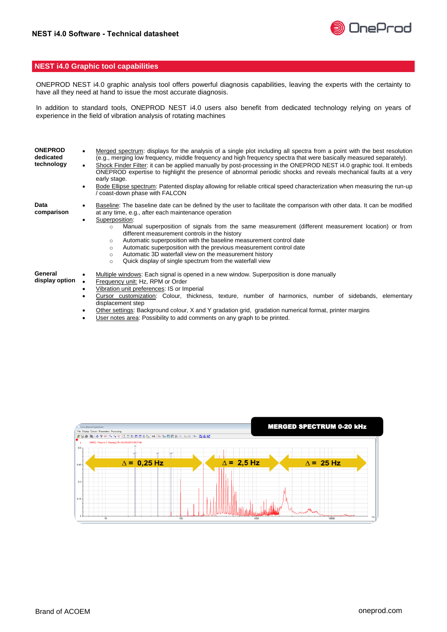

#### **NEST i4.0 Graphic tool capabilities**

ONEPROD NEST i4.0 graphic analysis tool offers powerful diagnosis capabilities, leaving the experts with the certainty to have all they need at hand to issue the most accurate diagnosis.

In addition to standard tools, ONEPROD NEST i4.0 users also benefit from dedicated technology relying on years of experience in the field of vibration analysis of rotating machines

| <b>ONEPROD</b><br>dedicated<br>technology | Merged spectrum: displays for the analysis of a single plot including all spectra from a point with the best resolution<br>(e.g., merging low frequency, middle frequency and high frequency spectra that were basically measured separately).<br>Shock Finder Filter: it can be applied manually by post-processing in the ONEPROD NEST i4.0 graphic tool. It embeds<br>ONEPROD expertise to highlight the presence of abnormal periodic shocks and reveals mechanical faults at a very<br>early stage.<br>Bode Ellipse spectrum: Patented display allowing for reliable critical speed characterization when measuring the run-up<br>coast-down phase with FALCON              |  |  |  |  |  |  |  |
|-------------------------------------------|----------------------------------------------------------------------------------------------------------------------------------------------------------------------------------------------------------------------------------------------------------------------------------------------------------------------------------------------------------------------------------------------------------------------------------------------------------------------------------------------------------------------------------------------------------------------------------------------------------------------------------------------------------------------------------|--|--|--|--|--|--|--|
| Data<br>comparison                        | Baseline: The baseline date can be defined by the user to facilitate the comparison with other data. It can be modified<br>at any time, e.g., after each maintenance operation<br>Superposition:<br>Manual superposition of signals from the same measurement (different measurement location) or from<br>$\circ$<br>different measurement controls in the history<br>Automatic superposition with the baseline measurement control date<br>$\circ$<br>Automatic superposition with the previous measurement control date<br>$\circ$<br>Automatic 3D waterfall view on the measurement history<br>$\circ$<br>Quick display of single spectrum from the waterfall view<br>$\circ$ |  |  |  |  |  |  |  |
| General<br>display option                 | Multiple windows: Each signal is opened in a new window. Superposition is done manually<br>Frequency unit: Hz, RPM or Order<br>Vibration unit preferences: IS or Imperial<br>Cursor customization: Colour, thickness, texture, number of harmonics, number of sidebands, elementary<br>displacement step<br>Other settings: Background colour, X and Y gradation grid, gradation numerical format, printer margins                                                                                                                                                                                                                                                               |  |  |  |  |  |  |  |

User notes area: Possibility to add comments on any graph to be printed.

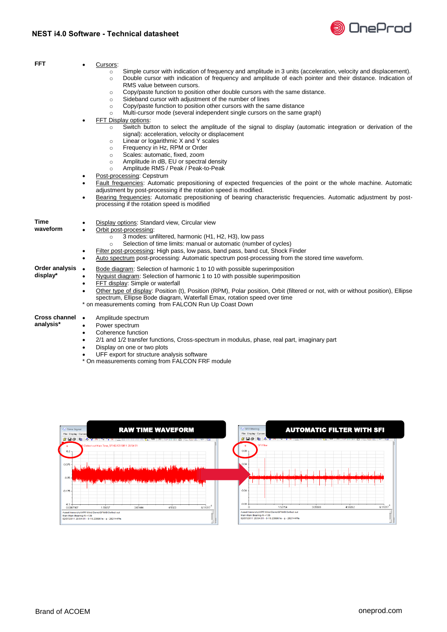

| <b>FFT</b>                        | Cursors:<br>$\bullet$                                                                                                                                                                                                                                                                                                                                                                                                                                                                                                                                                                                                      |
|-----------------------------------|----------------------------------------------------------------------------------------------------------------------------------------------------------------------------------------------------------------------------------------------------------------------------------------------------------------------------------------------------------------------------------------------------------------------------------------------------------------------------------------------------------------------------------------------------------------------------------------------------------------------------|
|                                   | Simple cursor with indication of frequency and amplitude in 3 units (acceleration, velocity and displacement).<br>$\circ$<br>Double cursor with indication of frequency and amplitude of each pointer and their distance. Indication of<br>$\circ$<br>RMS value between cursors.<br>Copy/paste function to position other double cursors with the same distance.<br>$\circ$<br>Sideband cursor with adjustment of the number of lines<br>$\circ$<br>Copy/paste function to position other cursors with the same distance<br>$\circ$<br>Multi-cursor mode (several independent single cursors on the same graph)<br>$\circ$ |
|                                   | FFT Display options:<br>$\bullet$<br>Switch button to select the amplitude of the signal to display (automatic integration or derivation of the<br>$\circ$<br>signal): acceleration, velocity or displacement<br>Linear or logarithmic X and Y scales<br>$\circ$<br>Frequency in Hz, RPM or Order<br>$\circ$<br>Scales: automatic, fixed, zoom<br>$\circ$<br>Amplitude in dB, EU or spectral density<br>$\circ$<br>Amplitude RMS / Peak / Peak-to-Peak<br>$\circ$                                                                                                                                                          |
|                                   | Post-processing: Cepstrum<br>Fault frequencies: Automatic prepositioning of expected frequencies of the point or the whole machine. Automatic<br>$\bullet$<br>adjustment by post-processing if the rotation speed is modified.<br>Bearing frequencies: Automatic prepositioning of bearing characteristic frequencies. Automatic adjustment by post-<br>$\bullet$<br>processing if the rotation speed is modified                                                                                                                                                                                                          |
| Time<br>waveform                  | Display options: Standard view, Circular view<br>Orbit post-processing:<br>$\bullet$<br>3 modes: unfiltered, harmonic (H1, H2, H3), low pass<br>$\circ$<br>Selection of time limits: manual or automatic (number of cycles)<br>$\circ$<br>Filter post-processing: High pass, low pass, band pass, band cut, Shock Finder<br>٠<br>Auto spectrum post-processing: Automatic spectrum post-processing from the stored time waveform.<br>$\bullet$                                                                                                                                                                             |
| Order analysis<br>display*        | Bode diagram: Selection of harmonic 1 to 10 with possible superimposition<br>$\bullet$<br>Nyquist diagram: Selection of harmonic 1 to 10 with possible superimposition<br>٠<br>FFT display: Simple or waterfall<br>$\bullet$<br>Other type of display: Position (t), Position (RPM), Polar position, Orbit (filtered or not, with or without position), Ellipse<br>$\bullet$<br>spectrum, Ellipse Bode diagram, Waterfall Emax, rotation speed over time<br>* on measurements coming from FALCON Run Up Coast Down                                                                                                         |
| <b>Cross channel</b><br>analysis* | Amplitude spectrum<br>$\bullet$<br>Power spectrum<br>$\bullet$<br>Coherence function<br>$\bullet$<br>2/1 and 1/2 transfer functions, Cross-spectrum in modulus, phase, real part, imaginary part<br>$\bullet$<br>Display on one or two plots<br>$\bullet$                                                                                                                                                                                                                                                                                                                                                                  |

- UFF export for structure analysis software
- \* On measurements coming from FALCON FRF module